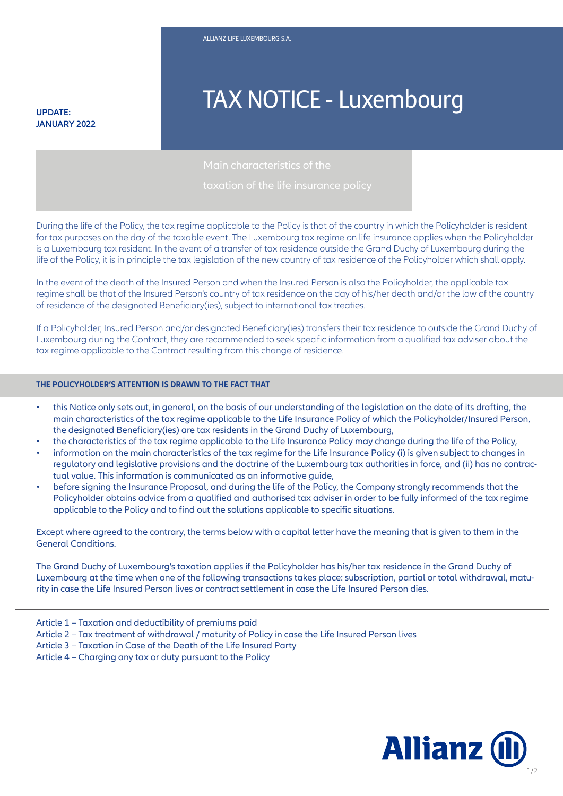**JANUARY 2022**

# **TAX NOTICE - Luxembourg**

During the life of the Policy, the tax regime applicable to the Policy is that of the country in which the Policyholder is resident for tax purposes on the day of the taxable event. The Luxembourg tax regime on life insurance applies when the Policyholder is a Luxembourg tax resident. In the event of a transfer of tax residence outside the Grand Duchy of Luxembourg during the life of the Policy, it is in principle the tax legislation of the new country of tax residence of the Policyholder which shall apply.

In the event of the death of the Insured Person and when the Insured Person is also the Policyholder, the applicable tax regime shall be that of the Insured Person's country of tax residence on the day of his/her death and/or the law of the country of residence of the designated Beneficiary(ies), subject to international tax treaties.

If a Policyholder, Insured Person and/or designated Beneficiary(ies) transfers their tax residence to outside the Grand Duchy of Luxembourg during the Contract, they are recommended to seek specific information from a qualified tax adviser about the tax regime applicable to the Contract resulting from this change of residence.

#### **THE POLICYHOLDER'S ATTENTION IS DRAWN TO THE FACT THAT**

- this Notice only sets out, in general, on the basis of our understanding of the legislation on the date of its drafting, the main characteristics of the tax regime applicable to the Life Insurance Policy of which the Policyholder/Insured Person, the designated Beneficiary(ies) are tax residents in the Grand Duchy of Luxembourg,
- the characteristics of the tax regime applicable to the Life Insurance Policy may change during the life of the Policy,
- information on the main characteristics of the tax regime for the Life Insurance Policy (i) is given subject to changes in regulatory and legislative provisions and the doctrine of the Luxembourg tax authorities in force, and (ii) has no contractual value. This information is communicated as an informative guide,
- before signing the Insurance Proposal, and during the life of the Policy, the Company strongly recommends that the Policyholder obtains advice from a qualified and authorised tax adviser in order to be fully informed of the tax regime applicable to the Policy and to find out the solutions applicable to specific situations.

Except where agreed to the contrary, the terms below with a capital letter have the meaning that is given to them in the<br>General Conditions. General Conditions.

The Grand Duchy of Luxembourg's taxation applies if the Policyholder has his/her tax residence in the Grand Duchy of Luxembourg at the time when one of the following transactions takes place: subscription, partial or total withdrawal, maturity in case the Life Insured Person lives or contract settlement in case the Life Insured Person dies.

- Article 1 Taxation and deductibility of premiums paid
- Article 2 Tax treatment of withdrawal / maturity of Policy in case the Life Insured Person lives
- Article 3 Taxation in Case of the Death of the Life Insured Party
- Article 4 Charging any tax or duty pursuant to the Policy